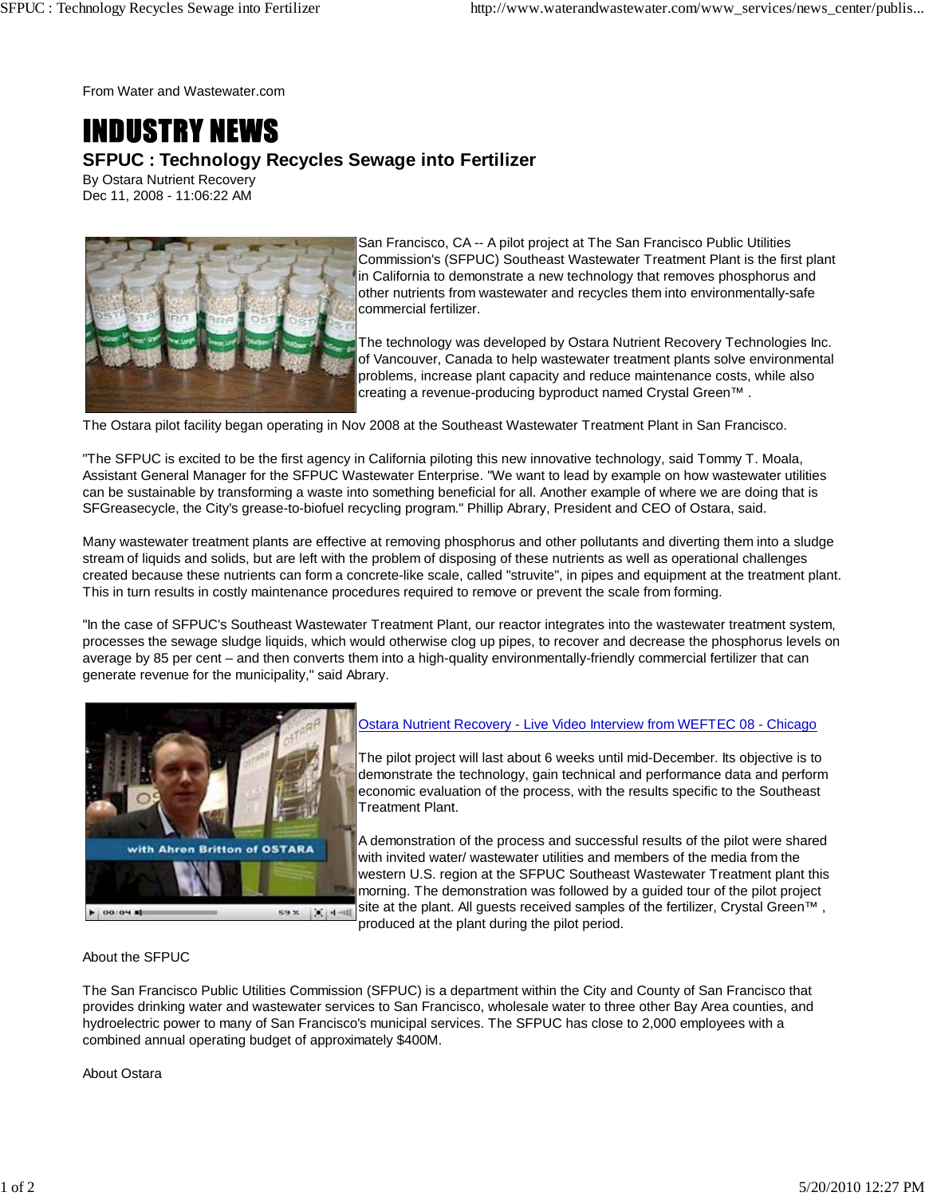From Water and Wastewater.com

## **INDUSTRY NEWS SFPUC : Technology Recycles Sewage into Fertilizer**

By Ostara Nutrient Recovery Dec 11, 2008 - 11:06:22 AM



San Francisco, CA -- A pilot project at The San Francisco Public Utilities Commission's (SFPUC) Southeast Wastewater Treatment Plant is the first plant in California to demonstrate a new technology that removes phosphorus and other nutrients from wastewater and recycles them into environmentally-safe commercial fertilizer.

The technology was developed by Ostara Nutrient Recovery Technologies Inc. of Vancouver, Canada to help wastewater treatment plants solve environmental problems, increase plant capacity and reduce maintenance costs, while also creating a revenue-producing byproduct named Crystal Green™ .

The Ostara pilot facility began operating in Nov 2008 at the Southeast Wastewater Treatment Plant in San Francisco.

"The SFPUC is excited to be the first agency in California piloting this new innovative technology, said Tommy T. Moala, Assistant General Manager for the SFPUC Wastewater Enterprise. "We want to lead by example on how wastewater utilities can be sustainable by transforming a waste into something beneficial for all. Another example of where we are doing that is SFGreasecycle, the City's grease-to-biofuel recycling program." Phillip Abrary, President and CEO of Ostara, said.

Many wastewater treatment plants are effective at removing phosphorus and other pollutants and diverting them into a sludge stream of liquids and solids, but are left with the problem of disposing of these nutrients as well as operational challenges created because these nutrients can form a concrete-like scale, called "struvite", in pipes and equipment at the treatment plant. This in turn results in costly maintenance procedures required to remove or prevent the scale from forming.

"In the case of SFPUC's Southeast Wastewater Treatment Plant, our reactor integrates into the wastewater treatment system, processes the sewage sludge liquids, which would otherwise clog up pipes, to recover and decrease the phosphorus levels on average by 85 per cent – and then converts them into a high-quality environmentally-friendly commercial fertilizer that can generate revenue for the municipality," said Abrary.



## Ostara Nutrient Recovery - Live Video Interview from WEFTEC 08 - Chicago

The pilot project will last about 6 weeks until mid-December. Its objective is to demonstrate the technology, gain technical and performance data and perform economic evaluation of the process, with the results specific to the Southeast Treatment Plant.

A demonstration of the process and successful results of the pilot were shared with invited water/ wastewater utilities and members of the media from the western U.S. region at the SFPUC Southeast Wastewater Treatment plant this morning. The demonstration was followed by a guided tour of the pilot project site at the plant. All guests received samples of the fertilizer, Crystal Green™,

produced at the plant during the pilot period.

About the SFPUC

The San Francisco Public Utilities Commission (SFPUC) is a department within the City and County of San Francisco that provides drinking water and wastewater services to San Francisco, wholesale water to three other Bay Area counties, and hydroelectric power to many of San Francisco's municipal services. The SFPUC has close to 2,000 employees with a combined annual operating budget of approximately \$400M.

About Ostara